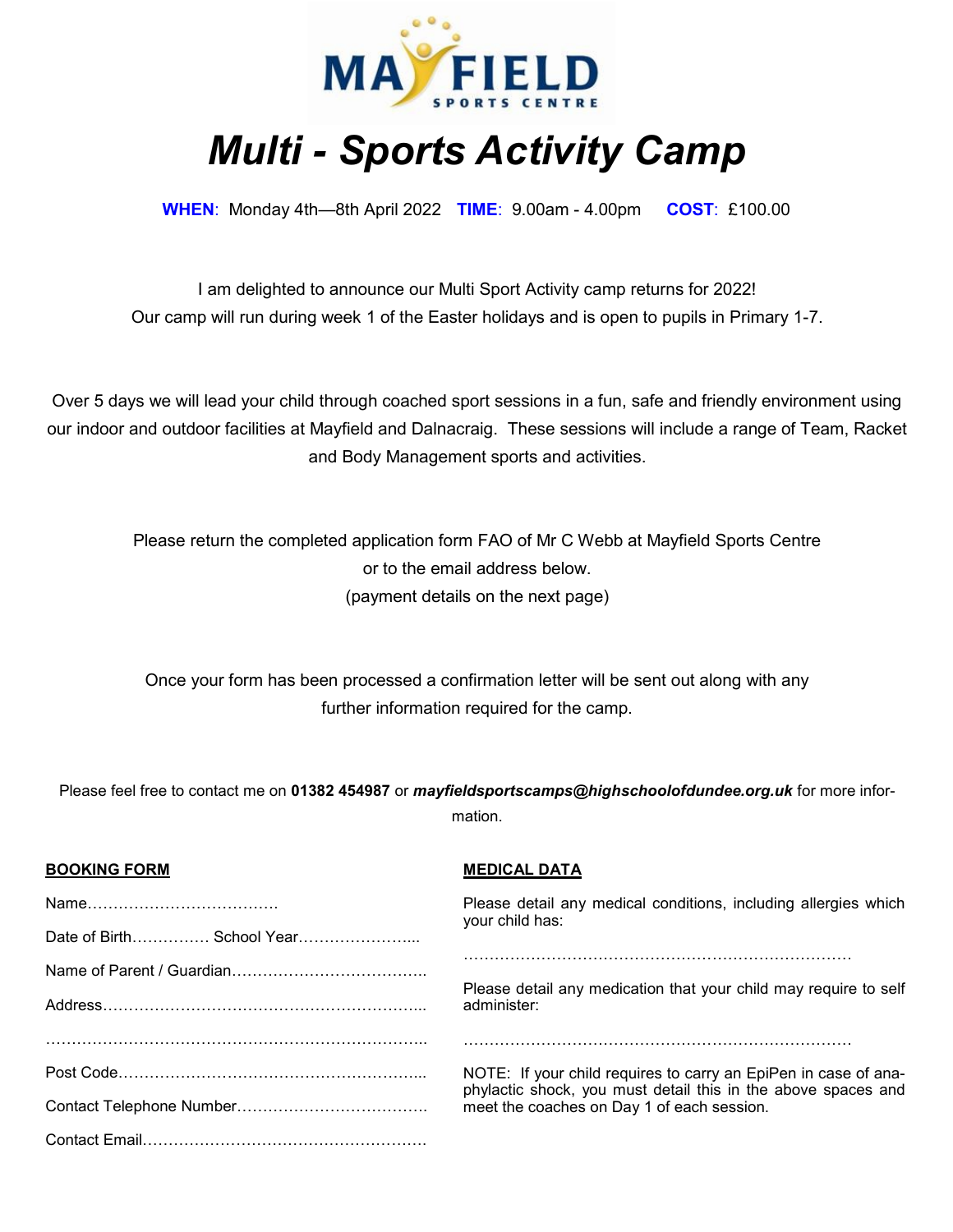

## *Multi - Sports Activity Camp*

**WHEN**: Monday 4th—8th April 2022 **TIME**: 9.00am - 4.00pm **COST**: £100.00

I am delighted to announce our Multi Sport Activity camp returns for 2022! Our camp will run during week 1 of the Easter holidays and is open to pupils in Primary 1-7.

Over 5 days we will lead your child through coached sport sessions in a fun, safe and friendly environment using our indoor and outdoor facilities at Mayfield and Dalnacraig. These sessions will include a range of Team, Racket and Body Management sports and activities.

Please return the completed application form FAO of Mr C Webb at Mayfield Sports Centre or to the email address below. (payment details on the next page)

Once your form has been processed a confirmation letter will be sent out along with any further information required for the camp.

Please feel free to contact me on **01382 454987** or *mayfieldsportscamps@highschoolofdundee.org.uk* for more information.

| <b>BOOKING FORM</b> | <b>MEDICAL DATA</b>                                                                                                              |
|---------------------|----------------------------------------------------------------------------------------------------------------------------------|
|                     | Please detail any medical conditions, including allergies which<br>your child has:                                               |
|                     |                                                                                                                                  |
|                     |                                                                                                                                  |
|                     | Please detail any medication that your child may require to self<br>administer:                                                  |
|                     |                                                                                                                                  |
|                     | NOTE: If your child requires to carry an EpiPen in case of ana-<br>phylactic shock, you must detail this in the above spaces and |
|                     | meet the coaches on Day 1 of each session.                                                                                       |
|                     |                                                                                                                                  |